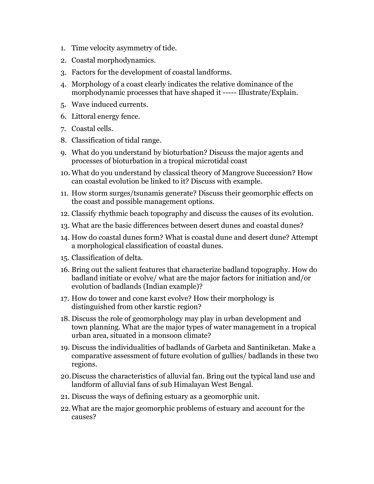- 1. Time velocity asymmetry of tide.
- 2. Coastal morphodynamics.
- 3. Factors for the development of coastal landforms.
- 4. Morphology of a coast clearly indicates the relative dominance of the morphodynamic processes that have shaped it ----- Illustrate/Explain.
- 5. Wave induced currents.
- 6. Littoral energy fence.
- 7. Coastal cells.
- 8. Classification of tidal range.
- 9. What do you understand by bioturbation? Discuss the major agents and processes of bioturbation in a tropical microtidal coast
- 10. What do you understand by classical theory of Mangrove Succession? How can coastal evolution be linked to it? Discuss with example.
- 11. How storm surges/tsunamis generate? Discuss their geomorphic effects on the coast and possible management options.
- 12. Classify rhythmic beach topography and discuss the causes of its evolution.
- 13. What are the basic differences between desert dunes and coastal dunes?
- 14. How do coastal dunes form? What is coastal dune and desert dune? Attempt a morphological classification of coastal dunes.
- 15. Classification of delta.
- 16. Bring out the salient features that characterize badland topography. How do badland initiate or evolve/ what are the major factors for initiation and/or evolution of badlands (Indian example)?
- 17. How do tower and cone karst evolve? How their morphology is distinguished from other karstic region?
- 18. Discuss the role of geomorphology may play in urban development and town planning. What are the major types of water management in a tropical urban area, situated in a monsoon climate?
- 19. Discuss the individualities of badlands of Garbeta and Santiniketan. Make a comparative assessment of future evolution of gullies/ badlands in these two regions.
- 20.Discuss the characteristics of alluvial fan. Bring out the typical land use and landform of alluvial fans of sub Himalayan West Bengal.
- 21. Discuss the ways of defining estuary as a geomorphic unit.
- 22.What are the major geomorphic problems of estuary and account for the causes?